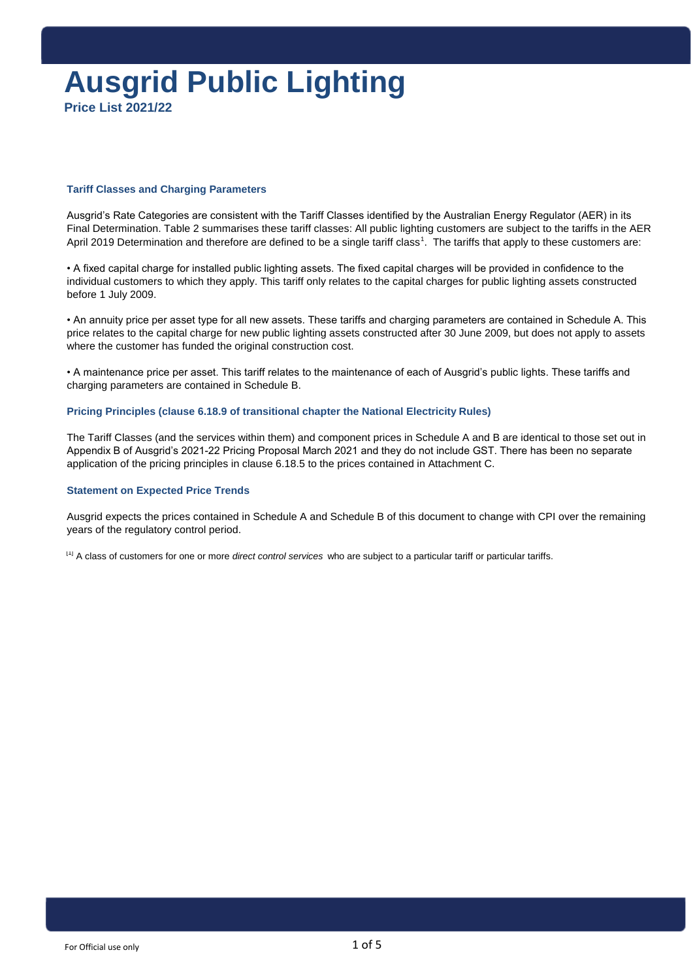## **Ausgrid Public Lighting Price List 2021/22**

#### **Tariff Classes and Charging Parameters**

Ausgrid's Rate Categories are consistent with the Tariff Classes identified by the Australian Energy Regulator (AER) in its Final Determination. Table 2 summarises these tariff classes: All public lighting customers are subject to the tariffs in the AER April 2019 Determination and therefore are defined to be a single tariff class<sup>1</sup>. The tariffs that apply to these customers are:

• A fixed capital charge for installed public lighting assets. The fixed capital charges will be provided in confidence to the individual customers to which they apply. This tariff only relates to the capital charges for public lighting assets constructed before 1 July 2009.

• An annuity price per asset type for all new assets. These tariffs and charging parameters are contained in Schedule A. This price relates to the capital charge for new public lighting assets constructed after 30 June 2009, but does not apply to assets where the customer has funded the original construction cost.

• A maintenance price per asset. This tariff relates to the maintenance of each of Ausgrid's public lights. These tariffs and charging parameters are contained in Schedule B.

#### **Pricing Principles (clause 6.18.9 of transitional chapter the National Electricity Rules)**

The Tariff Classes (and the services within them) and component prices in Schedule A and B are identical to those set out in Appendix B of Ausgrid's 2021-22 Pricing Proposal March 2021 and they do not include GST. There has been no separate application of the pricing principles in clause 6.18.5 to the prices contained in Attachment C.

#### **Statement on Expected Price Trends**

Ausgrid expects the prices contained in Schedule A and Schedule B of this document to change with CPI over the remaining years of the regulatory control period.

[1] A class of customers for one or more *direct control services* who are subject to a particular tariff or particular tariffs.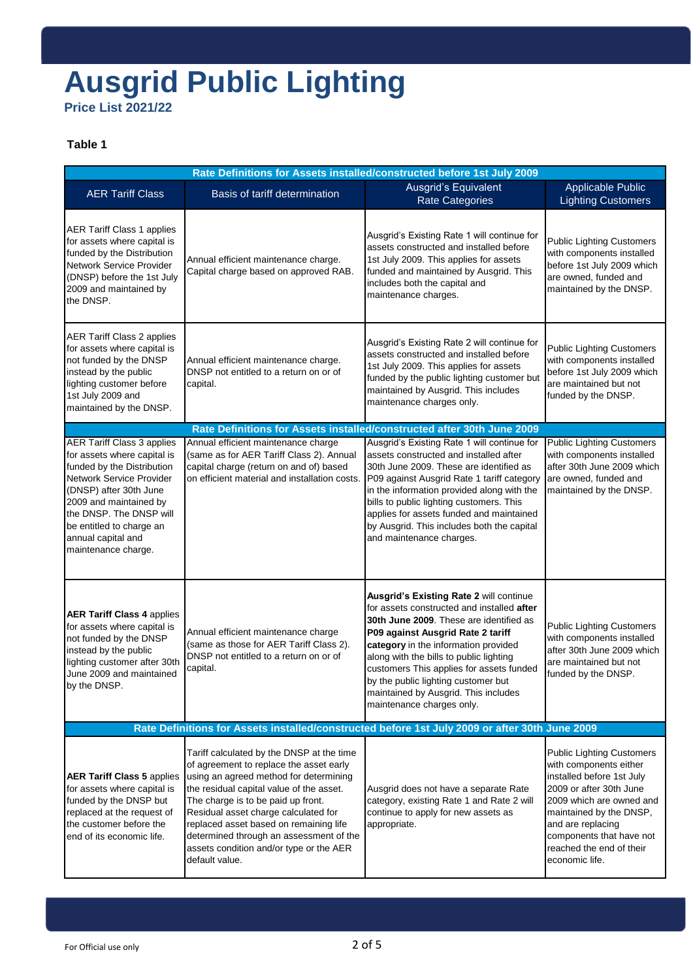## **Ausgrid Public Lighting Price List 2021/22**

### **Table 1**

| Rate Definitions for Assets installed/constructed before 1st July 2009                                                                                                                                                                                                                                                                  |                                                                                                                                                                                                                                                                                                                                                                                                            |                                                                                                                                                                                                                                                                                                                                                                                                                  |                                                                                                                                                                                                                                                                          |
|-----------------------------------------------------------------------------------------------------------------------------------------------------------------------------------------------------------------------------------------------------------------------------------------------------------------------------------------|------------------------------------------------------------------------------------------------------------------------------------------------------------------------------------------------------------------------------------------------------------------------------------------------------------------------------------------------------------------------------------------------------------|------------------------------------------------------------------------------------------------------------------------------------------------------------------------------------------------------------------------------------------------------------------------------------------------------------------------------------------------------------------------------------------------------------------|--------------------------------------------------------------------------------------------------------------------------------------------------------------------------------------------------------------------------------------------------------------------------|
| <b>AER Tariff Class</b>                                                                                                                                                                                                                                                                                                                 | Basis of tariff determination                                                                                                                                                                                                                                                                                                                                                                              | Ausgrid's Equivalent<br><b>Rate Categories</b>                                                                                                                                                                                                                                                                                                                                                                   | <b>Applicable Public</b><br><b>Lighting Customers</b>                                                                                                                                                                                                                    |
| <b>AER Tariff Class 1 applies</b><br>for assets where capital is<br>funded by the Distribution<br>Network Service Provider<br>(DNSP) before the 1st July<br>2009 and maintained by<br>the DNSP.                                                                                                                                         | Annual efficient maintenance charge.<br>Capital charge based on approved RAB.                                                                                                                                                                                                                                                                                                                              | Ausgrid's Existing Rate 1 will continue for<br>assets constructed and installed before<br>1st July 2009. This applies for assets<br>funded and maintained by Ausgrid. This<br>includes both the capital and<br>maintenance charges.                                                                                                                                                                              | <b>Public Lighting Customers</b><br>with components installed<br>before 1st July 2009 which<br>are owned, funded and<br>maintained by the DNSP.                                                                                                                          |
| <b>AER Tariff Class 2 applies</b><br>for assets where capital is<br>not funded by the DNSP<br>instead by the public<br>lighting customer before<br>1st July 2009 and<br>maintained by the DNSP.                                                                                                                                         | Annual efficient maintenance charge.<br>DNSP not entitled to a return on or of<br>capital.                                                                                                                                                                                                                                                                                                                 | Ausgrid's Existing Rate 2 will continue for<br>assets constructed and installed before<br>1st July 2009. This applies for assets<br>funded by the public lighting customer but<br>maintained by Ausgrid. This includes<br>maintenance charges only.                                                                                                                                                              | <b>Public Lighting Customers</b><br>with components installed<br>before 1st July 2009 which<br>are maintained but not<br>funded by the DNSP.                                                                                                                             |
|                                                                                                                                                                                                                                                                                                                                         |                                                                                                                                                                                                                                                                                                                                                                                                            | Rate Definitions for Assets installed/constructed after 30th June 2009                                                                                                                                                                                                                                                                                                                                           |                                                                                                                                                                                                                                                                          |
| <b>AER Tariff Class 3 applies</b><br>for assets where capital is<br>funded by the Distribution<br>Network Service Provider<br>(DNSP) after 30th June<br>2009 and maintained by<br>the DNSP. The DNSP will<br>be entitled to charge an<br>annual capital and<br>maintenance charge.                                                      | Annual efficient maintenance charge<br>(same as for AER Tariff Class 2). Annual<br>capital charge (return on and of) based<br>on efficient material and installation costs.                                                                                                                                                                                                                                | Ausgrid's Existing Rate 1 will continue for<br>assets constructed and installed after<br>30th June 2009. These are identified as<br>P09 against Ausgrid Rate 1 tariff category<br>in the information provided along with the<br>bills to public lighting customers. This<br>applies for assets funded and maintained<br>by Ausgrid. This includes both the capital<br>and maintenance charges.                   | <b>Public Lighting Customers</b><br>with components installed<br>after 30th June 2009 which<br>are owned, funded and<br>maintained by the DNSP.                                                                                                                          |
| <b>AER Tariff Class 4 applies</b><br>for assets where capital is<br>Annual efficient maintenance charge<br>not funded by the DNSP<br>(same as those for AER Tariff Class 2).<br>instead by the public<br>DNSP not entitled to a return on or of<br>lighting customer after 30th<br>capital.<br>June 2009 and maintained<br>by the DNSP. |                                                                                                                                                                                                                                                                                                                                                                                                            | Ausgrid's Existing Rate 2 will continue<br>for assets constructed and installed after<br>30th June 2009. These are identified as<br>P09 against Ausgrid Rate 2 tariff<br>category in the information provided<br>along with the bills to public lighting<br>customers This applies for assets funded<br>by the public lighting customer but<br>maintained by Ausgrid. This includes<br>maintenance charges only. | <b>Public Lighting Customers</b><br>with components installed<br>after 30th June 2009 which<br>are maintained but not<br>funded by the DNSP.                                                                                                                             |
|                                                                                                                                                                                                                                                                                                                                         | Rate Definitions for Assets installed/constructed before 1st July 2009 or after 30th June 2009                                                                                                                                                                                                                                                                                                             |                                                                                                                                                                                                                                                                                                                                                                                                                  |                                                                                                                                                                                                                                                                          |
| <b>AER Tariff Class 5 applies</b><br>for assets where capital is<br>funded by the DNSP but<br>replaced at the request of<br>the customer before the<br>end of its economic life.                                                                                                                                                        | Tariff calculated by the DNSP at the time<br>of agreement to replace the asset early<br>using an agreed method for determining<br>the residual capital value of the asset.<br>The charge is to be paid up front.<br>Residual asset charge calculated for<br>replaced asset based on remaining life<br>determined through an assessment of the<br>assets condition and/or type or the AER<br>default value. | Ausgrid does not have a separate Rate<br>category, existing Rate 1 and Rate 2 will<br>continue to apply for new assets as<br>appropriate.                                                                                                                                                                                                                                                                        | <b>Public Lighting Customers</b><br>with components either<br>installed before 1st July<br>2009 or after 30th June<br>2009 which are owned and<br>maintained by the DNSP,<br>and are replacing<br>components that have not<br>reached the end of their<br>economic life. |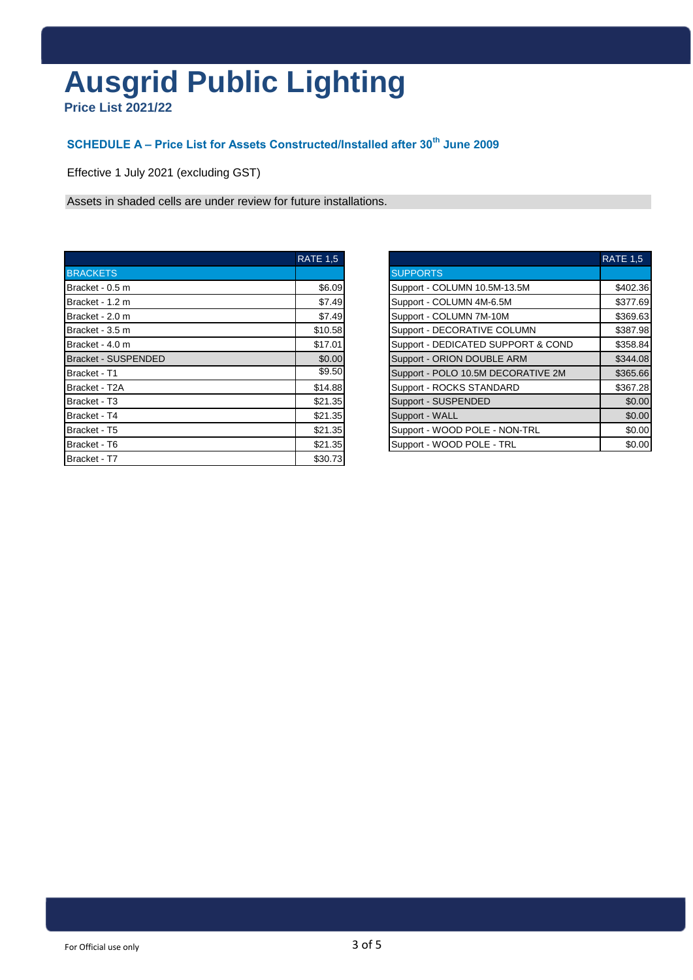# **Ausgrid Public Lighting**

**Price List 2021/22**

## **SCHEDULE A – Price List for Assets Constructed/Installed after 30th June 2009**

Effective 1 July 2021 (excluding GST)

Assets in shaded cells are under review for future installations.

|                            | <b>RATE 1.5</b> |                                    | <b>RATE 1.5</b> |
|----------------------------|-----------------|------------------------------------|-----------------|
| <b>BRACKETS</b>            |                 | <b>SUPPORTS</b>                    |                 |
| Bracket - 0.5 m            | \$6.09          | Support - COLUMN 10.5M-13.5M       | \$402.36        |
| Bracket - 1.2 m            | \$7.49          | Support - COLUMN 4M-6.5M           | \$377.69        |
| Bracket - 2.0 m            | \$7.49          | Support - COLUMN 7M-10M            | \$369.63        |
| Bracket - 3.5 m            | \$10.58         | Support - DECORATIVE COLUMN        | \$387.98        |
| Bracket - 4.0 m            | \$17.01         | Support - DEDICATED SUPPORT & COND | \$358.84        |
| <b>Bracket - SUSPENDED</b> | \$0.00          | Support - ORION DOUBLE ARM         | \$344.08        |
| Bracket - T1               | \$9.50          | Support - POLO 10.5M DECORATIVE 2M | \$365.66        |
| Bracket - T2A              | \$14.88         | Support - ROCKS STANDARD           | \$367.28        |
| Bracket - T3               | \$21.35         | Support - SUSPENDED                | \$0.00          |
| Bracket - T4               | \$21.35         | Support - WALL                     | \$0.00          |
| Bracket - T5               | \$21.35         | Support - WOOD POLE - NON-TRL      | \$0.00          |
| Bracket - T6               | \$21.35         | Support - WOOD POLE - TRL          | \$0.00          |
| Bracket - T7               | \$30.73         |                                    |                 |

| <b>RATE 1.5</b> |                                    | <b>RATE 1.5</b> |
|-----------------|------------------------------------|-----------------|
|                 | <b>SUPPORTS</b>                    |                 |
| \$6.09          | Support - COLUMN 10.5M-13.5M       | \$402.36        |
| \$7.49          | Support - COLUMN 4M-6.5M           | \$377.69        |
| \$7.49          | Support - COLUMN 7M-10M            | \$369.63        |
| \$10.58         | Support - DECORATIVE COLUMN        | \$387.98        |
| \$17.01         | Support - DEDICATED SUPPORT & COND | \$358.84        |
| \$0.00          | Support - ORION DOUBLE ARM         | \$344.08        |
| \$9.50          | Support - POLO 10.5M DECORATIVE 2M | \$365.66        |
| \$14.88         | Support - ROCKS STANDARD           | \$367.28        |
| \$21.35         | Support - SUSPENDED                | \$0.00          |
| \$21.35         | Support - WALL                     | \$0.00          |
| \$21.35         | Support - WOOD POLE - NON-TRL      | \$0.00          |
| \$21.35         | Support - WOOD POLE - TRL          | \$0.00          |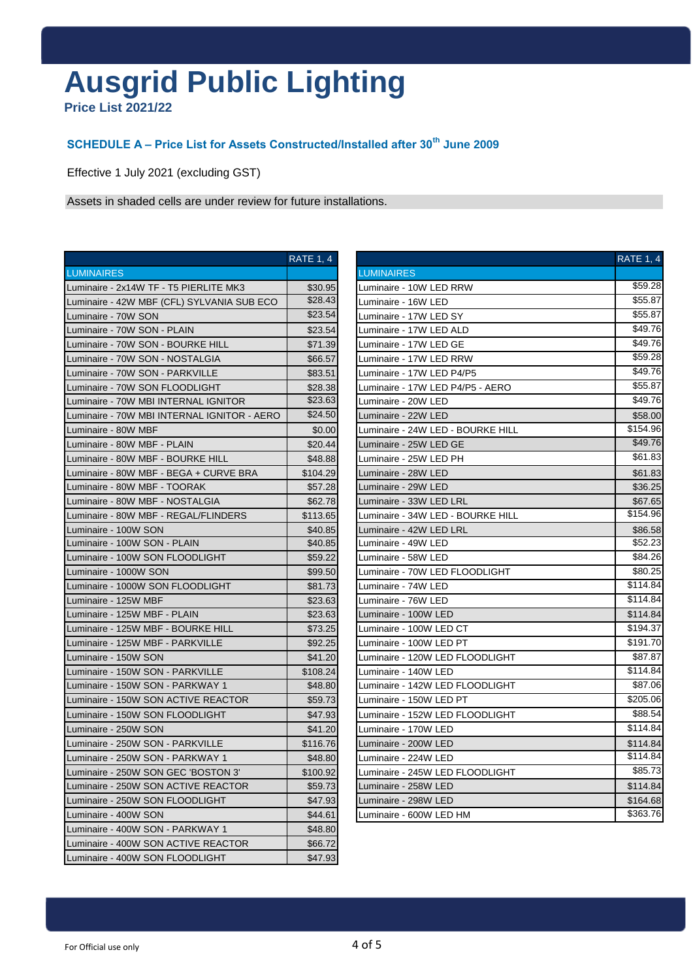# **Ausgrid Public Lighting**

**Price List 2021/22**

## **SCHEDULE A – Price List for Assets Constructed/Installed after 30th June 2009**

Effective 1 July 2021 (excluding GST)

Assets in shaded cells are under review for future installations.

|                                             | <b>RATE 1, 4</b> |                            |
|---------------------------------------------|------------------|----------------------------|
| <b>LUMINAIRES</b>                           |                  | <b>LUMINAIRES</b>          |
| Luminaire - 2x14W TF - T5 PIERLITE MK3      | \$30.95          | Luminaire - 1              |
| Luminaire - 42W MBF (CFL) SYLVANIA SUB ECO  | \$28.43          | Luminaire - 1              |
| Luminaire - 70W SON                         | \$23.54          | Luminaire - 11             |
| Luminaire - 70W SON - PLAIN                 | \$23.54          | Luminaire - 11             |
| Luminaire - 70W SON - BOURKE HILL           | \$71.39          | Luminaire - 11             |
| Luminaire - 70W SON - NOSTALGIA             | \$66.57          | Luminaire - 1              |
| Luminaire - 70W SON - PARKVILLE             | \$83.51          | Luminaire 1                |
| Luminaire - 70W SON FLOODLIGHT              | \$28.38          | Luminaire - 17             |
| Luminaire - 70W MBI INTERNAL IGNITOR        | \$23.63          | Luminaire - 2              |
| Luminaire - 70W MBI INTERNAL IGNITOR - AERO | \$24.50          | Luminaire - 2:             |
| Luminaire - 80W MBF                         | \$0.00           | Luminaire - 24             |
| Luminaire - 80W MBF - PLAIN                 | \$20.44          | Luminaire - 2              |
| Luminaire - 80W MBF - BOURKE HILL           | \$48.88          | Luminaire - 2              |
| Luminaire - 80W MBF - BEGA + CURVE BRA      | \$104.29         | Luminaire - 28             |
| Luminaire - 80W MBF - TOORAK                | \$57.28          | Luminaire - 29             |
| Luminaire - 80W MBF - NOSTALGIA             | \$62.78          | Luminaire - 3:             |
| Luminaire - 80W MBF - REGAL/FLINDERS        | \$113.65         | Luminaire - 3 <sub>'</sub> |
| Luminaire - 100W SON                        | \$40.85          | Luminaire - 4:             |
| Luminaire - 100W SON - PLAIN                | \$40.85          | Luminaire - 4!             |
| Luminaire - 100W SON FLOODLIGHT             | \$59.22          | Luminaire - 58             |
| Luminaire - 1000W SON                       | \$99.50          | Luminaire - 7              |
| Luminaire - 1000W SON FLOODLIGHT            | \$81.73          | Luminaire - 74             |
| Luminaire - 125W MBF                        | \$23.63          | Luminaire - 7              |
| Luminaire - 125W MBF - PLAIN                | \$23.63          | Luminaire - 1              |
| Luminaire - 125W MBF - BOURKE HILL          | \$73.25          | Luminaire - 1              |
| Luminaire - 125W MBF - PARKVILLE            | \$92.25          | Luminaire - 1              |
| Luminaire - 150W SON                        | \$41.20          | Luminaire - 1:             |
| Luminaire - 150W SON - PARKVILLE            | \$108.24         | Luminaire - 1 <sub>1</sub> |
| Luminaire - 150W SON - PARKWAY 1            | \$48.80          | Luminaire - 1 <sub>1</sub> |
| Luminaire - 150W SON ACTIVE REACTOR         | \$59.73          | Luminaire - 1!             |
| Luminaire - 150W SON FLOODLIGHT             | \$47.93          | Luminaire - 1              |
| Luminaire - 250W SON                        | \$41.20          | Luminaire - 17             |
| Luminaire - 250W SON - PARKVILLE            | \$116.76         | Luminaire - 20             |
| Luminaire - 250W SON - PARKWAY 1            | \$48.80          | Luminaire - 2:             |
| Luminaire - 250W SON GEC 'BOSTON 3'         | \$100.92         | Luminaire - 24             |
| Luminaire - 250W SON ACTIVE REACTOR         | \$59.73          | Luminaire - 2              |
| Luminaire - 250W SON FLOODLIGHT             | \$47.93          | Luminaire - 29             |
| Luminaire - 400W SON                        | \$44.61          | Luminaire - 6              |
| Luminaire - 400W SON - PARKWAY 1            | \$48.80          |                            |
| Luminaire - 400W SON ACTIVE REACTOR         | \$66.72          |                            |
| Luminaire - 400W SON FLOODLIGHT             | \$47.93          |                            |

|                                             | <b>RATE 1, 4</b> |                                   | <b>RATE 1, 4</b> |
|---------------------------------------------|------------------|-----------------------------------|------------------|
| <b>LUMINAIRES</b>                           |                  | <b>LUMINAIRES</b>                 |                  |
| Luminaire - 2x14W TF - T5 PIERLITE MK3      | \$30.95          | Luminaire - 10W LED RRW           | \$59.28          |
| Luminaire - 42W MBF (CFL) SYLVANIA SUB ECO  | \$28.43          | Luminaire - 16W LED               | \$55.87          |
| Luminaire - 70W SON                         | \$23.54          | Luminaire - 17W LED SY            | \$55.87          |
| Luminaire - 70W SON - PLAIN                 | \$23.54          | Luminaire - 17W LED ALD           | \$49.76          |
| Luminaire - 70W SON - BOURKE HILL           | \$71.39          | Luminaire - 17W LED GE            | \$49.76          |
| Luminaire - 70W SON - NOSTALGIA             | \$66.57          | Luminaire - 17W LED RRW           | \$59.28          |
| Luminaire - 70W SON - PARKVILLE             | \$83.51          | Luminaire - 17W LED P4/P5         | \$49.76          |
| Luminaire - 70W SON FLOODLIGHT              | \$28.38          | Luminaire - 17W LED P4/P5 - AERO  | \$55.87          |
| Luminaire - 70W MBI INTERNAL IGNITOR        | \$23.63          | Luminaire - 20W LED               | \$49.76          |
| Luminaire - 70W MBI INTERNAL IGNITOR - AERO | \$24.50          | Luminaire - 22W LED               | \$58.00          |
| Luminaire - 80W MBF                         | \$0.00           | Luminaire - 24W LED - BOURKE HILL | \$154.96         |
| Luminaire - 80W MBF - PLAIN                 | \$20.44          | Luminaire - 25W LED GE            | \$49.76          |
| Luminaire - 80W MBF - BOURKE HILL           | \$48.88          | Luminaire - 25W LED PH            | \$61.83          |
| Luminaire - 80W MBF - BEGA + CURVE BRA      | \$104.29         | Luminaire - 28W LED               | \$61.83          |
| Luminaire - 80W MBF - TOORAK                | \$57.28          | Luminaire - 29W LED               | \$36.25          |
| Luminaire - 80W MBF - NOSTALGIA             | \$62.78          | Luminaire - 33W LED LRL           | \$67.65          |
| Luminaire - 80W MBF - REGAL/FLINDERS        | \$113.65         | Luminaire - 34W LED - BOURKE HILL | \$154.96         |
| Luminaire - 100W SON                        | \$40.85          | Luminaire - 42W LED LRL           | \$86.58          |
| Luminaire - 100W SON - PLAIN                | \$40.85          | Luminaire - 49W LED               | \$52.23          |
| Luminaire - 100W SON FLOODLIGHT             | \$59.22          | Luminaire - 58W LED               | \$84.26          |
| Luminaire - 1000W SON                       | \$99.50          | Luminaire - 70W LED FLOODLIGHT    | \$80.25          |
| Luminaire - 1000W SON FLOODLIGHT            | \$81.73          | Luminaire - 74W LED               | \$114.84         |
| Luminaire - 125W MBF                        | \$23.63          | Luminaire - 76W LED               | \$114.84         |
| Luminaire - 125W MBF - PLAIN                | \$23.63          | Luminaire - 100W LED              | \$114.84         |
| Luminaire - 125W MBF - BOURKE HILL          | \$73.25          | Luminaire - 100W LED CT           | \$194.37         |
| Luminaire - 125W MBF - PARKVILLE            | \$92.25          | Luminaire - 100W LED PT           | \$191.70         |
| Luminaire - 150W SON                        | \$41.20          | Luminaire - 120W LED FLOODLIGHT   | \$87.87          |
| Luminaire - 150W SON - PARKVILLE            | \$108.24         | Luminaire - 140W LED              | \$114.84         |
| Luminaire - 150W SON - PARKWAY 1            | \$48.80          | Luminaire - 142W LED FLOODLIGHT   | \$87.06          |
| Luminaire - 150W SON ACTIVE REACTOR         | \$59.73          | Luminaire - 150W LED PT           | \$205.06         |
| Luminaire - 150W SON FLOODLIGHT             | \$47.93          | Luminaire - 152W LED FLOODLIGHT   | \$88.54          |
| Luminaire - 250W SON                        | \$41.20          | Luminaire - 170W LED              | \$114.84         |
| Luminaire - 250W SON - PARKVILLE            | \$116.76         | Luminaire - 200W LED              | \$114.84         |
| Luminaire - 250W SON - PARKWAY 1            | \$48.80          | Luminaire - 224W LED              | \$114.84         |
| Luminaire - 250W SON GEC 'BOSTON 3'         | \$100.92         | Luminaire - 245W LED FLOODLIGHT   | \$85.73          |
| Luminaire - 250W SON ACTIVE REACTOR         | \$59.73          | Luminaire - 258W LED              | \$114.84         |
| Luminaire - 250W SON FLOODLIGHT             | \$47.93          | Luminaire - 298W LED              | \$164.68         |
| Luminaire - 400W SON                        | \$44.61          | Luminaire - 600W LED HM           | \$363.76         |